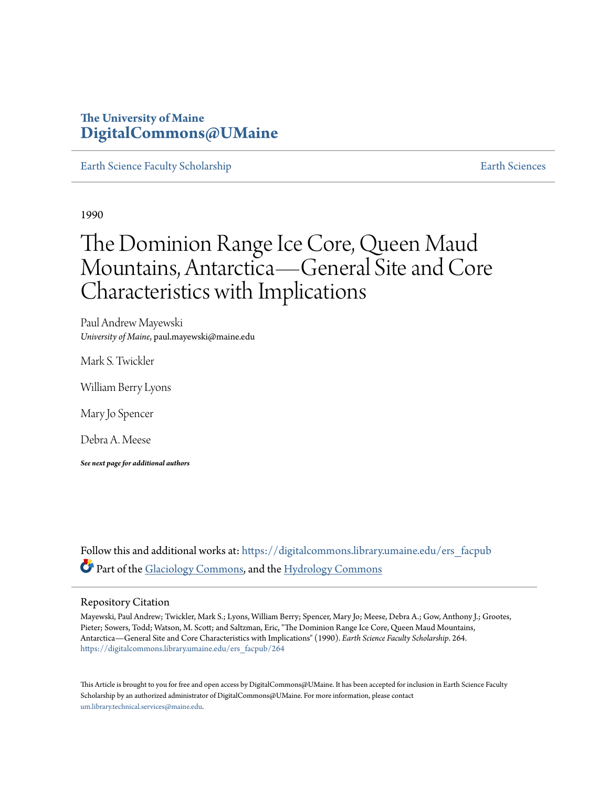### **The University of Maine [DigitalCommons@UMaine](https://digitalcommons.library.umaine.edu?utm_source=digitalcommons.library.umaine.edu%2Fers_facpub%2F264&utm_medium=PDF&utm_campaign=PDFCoverPages)**

[Earth Science Faculty Scholarship](https://digitalcommons.library.umaine.edu/ers_facpub?utm_source=digitalcommons.library.umaine.edu%2Fers_facpub%2F264&utm_medium=PDF&utm_campaign=PDFCoverPages) **[Earth Sciences](https://digitalcommons.library.umaine.edu/ers?utm_source=digitalcommons.library.umaine.edu%2Fers_facpub%2F264&utm_medium=PDF&utm_campaign=PDFCoverPages)** 

1990

# The Dominion Range Ice Core, Queen Maud Mountains, Antarctica—General Site and Core Characteristics with Implications

Paul Andrew Mayewski *University of Maine*, paul.mayewski@maine.edu

Mark S. Twickler

William Berry Lyons

Mary Jo Spencer

Debra A. Meese

*See next page for additional authors*

Follow this and additional works at: [https://digitalcommons.library.umaine.edu/ers\\_facpub](https://digitalcommons.library.umaine.edu/ers_facpub?utm_source=digitalcommons.library.umaine.edu%2Fers_facpub%2F264&utm_medium=PDF&utm_campaign=PDFCoverPages) Part of the [Glaciology Commons,](http://network.bepress.com/hgg/discipline/159?utm_source=digitalcommons.library.umaine.edu%2Fers_facpub%2F264&utm_medium=PDF&utm_campaign=PDFCoverPages) and the [Hydrology Commons](http://network.bepress.com/hgg/discipline/1054?utm_source=digitalcommons.library.umaine.edu%2Fers_facpub%2F264&utm_medium=PDF&utm_campaign=PDFCoverPages)

### Repository Citation

Mayewski, Paul Andrew; Twickler, Mark S.; Lyons, William Berry; Spencer, Mary Jo; Meese, Debra A.; Gow, Anthony J.; Grootes, Pieter; Sowers, Todd; Watson, M. Scott; and Saltzman, Eric, "The Dominion Range Ice Core, Queen Maud Mountains, Antarctica—General Site and Core Characteristics with Implications" (1990). *Earth Science Faculty Scholarship*. 264. [https://digitalcommons.library.umaine.edu/ers\\_facpub/264](https://digitalcommons.library.umaine.edu/ers_facpub/264?utm_source=digitalcommons.library.umaine.edu%2Fers_facpub%2F264&utm_medium=PDF&utm_campaign=PDFCoverPages)

This Article is brought to you for free and open access by DigitalCommons@UMaine. It has been accepted for inclusion in Earth Science Faculty Scholarship by an authorized administrator of DigitalCommons@UMaine. For more information, please contact [um.library.technical.services@maine.edu](mailto:um.library.technical.services@maine.edu).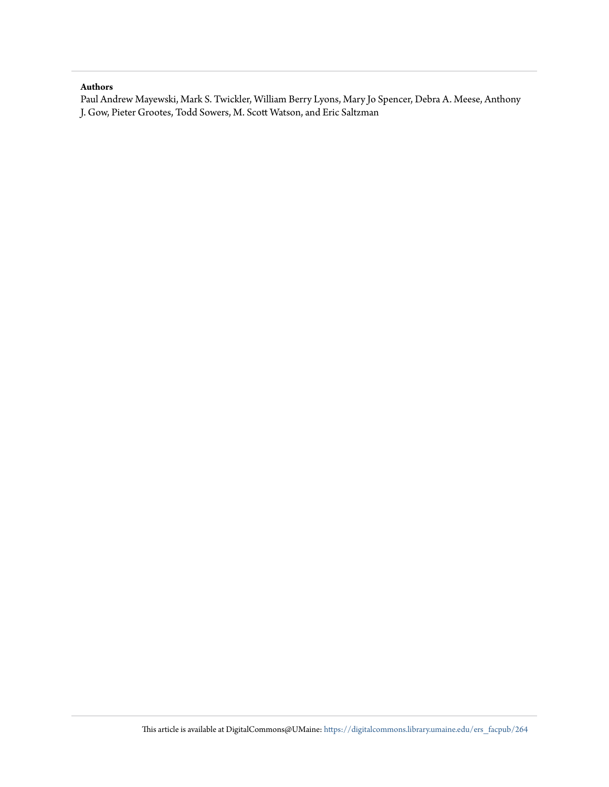### **Authors**

Paul Andrew Mayewski, Mark S. Twickler, William Berry Lyons, Mary Jo Spencer, Debra A. Meese, Anthony J. Gow, Pieter Grootes, Todd Sowers, M. Scott Watson, and Eric Saltzman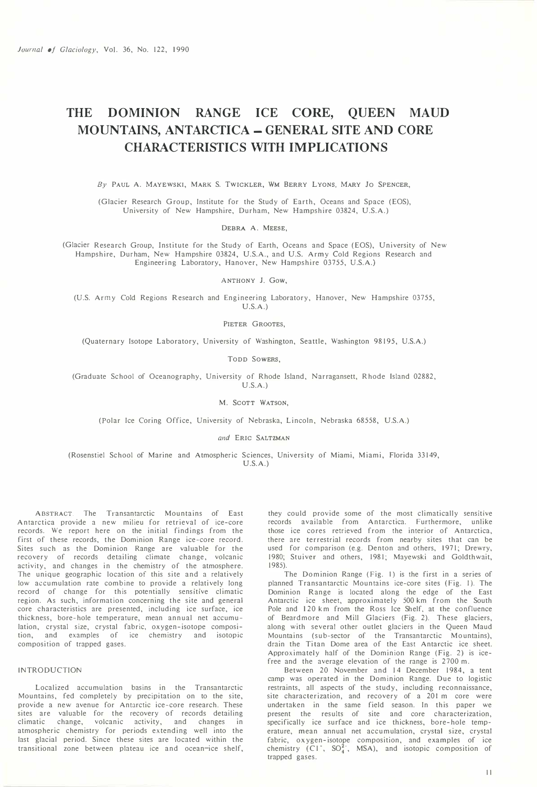## THE DOMINION RANGE ICE CORE, QUEEN MAUD MOUNTAINS, ANTARCTICA - GENERAL SITE AND CORE CHARACTERISTICS WITH IMPLICATIONS

By PAUL A. MAYEWSKI, MARK S. TWICKLER, WM BERRY LYONS, MARY 10 SPENCER,

(Glacier Research Group, Institute for the Study of Earth, Oceans and Space (EOS), University of New Hampshire, Durham, New Hampshire 03824, U.S.A.)

DEBRA A. MEESE,

(Glacier Research Group, Institute for the Study of Earth, Oceans and Space (EOS), University of New Hampshire, Durham, New Hampshire 03824, U.S.A., and U.S. Army Cold Regions Research and Engineering Laboratory, Hanover, New Hampshire 03755, U.S.A.)

ANTHONY 1. Gow,

(U.S. Army Cold Regions Research and Engineering Laboratory, Hanover, New Hampshire 03755, U.S.A.)

PIETER GROOTES.

(Quaternary Isotope Laboratory, University of Washington, Seattle, Washington 98195, U.S.A.)

TODD SO<sup>W</sup>ERS,

(Graduate School of Oceanography, University of Rhode Island, Narragansett, Rhode Island 02882, U.S.A.)

M. SCOTT WATSON,

(Polar Ice Coring Office, University of Nebraska, Lincoln, Nebraska 68558, U.S.A.)

and ERIC SALTZMAN

(Rosenstiel School of Marine and Atmospheric Sciences, University of Miami, Miami, Florida 33149, U.S.A.)

ABSTRACT. The Transantarctic Mountains of East Antarctica provide a new milieu for retrieval of ice-core records. We report here on the initial findings from the first of these records, the Dominion Range ice-core record. Sites such as the Dominion Range are valuable for the recovery of records detailing climate change, volcanic activity, and changes in the chemistry of the atmosphere. The unique geographic location of this site and a relatively low accumulation rate combine to provide a relatively long record of change for this potentially sensitive climatic region. As such, information concerning the site and general core characteristics are presented, including ice surface, ice thickness, bore-hole temperature, mean annual net accumulation, crystal size, crystal fabric, oxygen-isotope composition, and examples of ice chemistry and isotopic composition of trapped gases.

#### INTRODUCTION

Localized accumulation basins in the Transantarctic Mountains, fed completely by precipitation on to the site, provide a new avenue for Antarctic ice-core research. These sites are valuable for the recovery of records detailing climatic change, volcanic activity, and changes in atmospheric chemistry for periods extending well into the last glacial period. Since these sites are located within the transitional zone between plateau ice and ocean-ice shelf,

they could provide some of the most climatically sensitive records available from Antarctica. Furthermore, unlike those ice cores retrieved from the interior of Antarctica, there are terrestrial records from nearby sites that can be used for comparison (e.g. Denton and others, 1971; Drewry, 1980; Stuiver and others, 1981; Mayewski and Goldthwait, 1985).

The Dominion Range (Fig. I) is the first in a series of planned Transantarctic Mountains ice-core sites (Fig. I). The Dominion Range is located along the edge of the East Antarctic ice sheet, approximately 500 km from the South Pole and 120 km from the Ross Ice Shelf, at the confluence of Beardmore and Mill Glaciers (Fig. 2). These glaciers, along with several other outlet glaciers in the Queen Maud Mountains (sub-sector of the Transantarctic Mountains), drain the Titan Dome area of the East Antarctic ice sheet. Approximately half of the Dominion Range (Fig. 2) is icefree and the average elevation of the range is 2700 m.

Between 20 November and 14 December 1984, a tent camp was operated in the Dominion Range. Due to logistic restraints, all aspects of the study, including reconnaissance, site characterization, and recovery of a 201 m core were undertaken in the same field season. In this paper we present the results of site and core characterization, specifically ice surface and ice thickness, bore-hole temperature, mean annual net accumulation, crystal size, crystal fabric, oxygen-isotope composition, and examples of ice chemistry (C1<sup>-</sup>, SO<sup>2</sup><sub>4</sub>, MSA), and isotopic composition of trapped gases.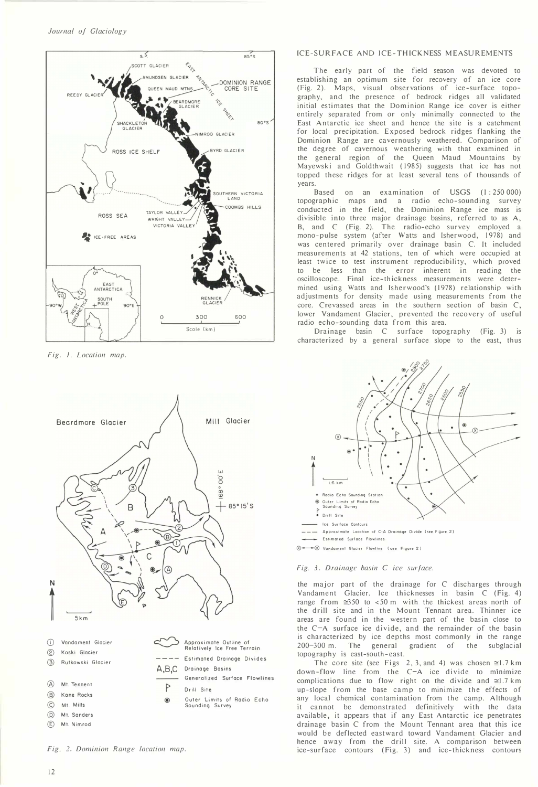

 $Fig. 1. Location map.$ 



### ICE-SURFACE AND ICE-THICKNESS MEASUREMENTS

The early part of the field season was devoted to establishing an optimum site for recovery of an ice core (Fig. 2). Maps, visual observations of ice-surface topography, and the presence of bedrock ridges all validated initial estimates that the Dominion Range ice cover is either entirely separated from or only minimally connected to the East Antarctic ice sheet and hence the site is a catchment for local precipitation. Exposed bedrock ridges flanking the Dominion Range are cavernously weathered. Comparison of the degree of cavernous weathering with that examined in the general region of the Queen Maud Mountains by Mayewski and Goldthwait (1985) suggests that ice has not topped these ridges for at least several tens of thousands of years.

Based on an examination of USGS (1:250 000) topographic maps and a radio echo-sounding survey conducted in the field, the Dominion Range ice mass is divisible into three major drainage basins, referred to as A, B, and C (Fig. 2). The radio-echo survey employed a mono-pulse system (after Watts and Isherwood, 1978) and was centered primarily over drainage basin C. It included measurements at 42 stations, ten of which were occupied at least twice to test instrument reproducibility, which proved to be less than the error inherent in reading the oscilloscope. Final ice-thickness measurements were determined using Watts and Isherwood's (1978) relationship with adjustments for density made using measurements from the core. Crevassed areas in the southern section of basin C, lower Vandament Glacier, prevented the recovery of useful radio echo-sounding data from this area.

Drainage basin C surface topography (Fig. 3) is characterized by a general surface slope to the east, thus



#### Fig. 3. Drainage basin  $C$  ice surface.

the major part of the drainage for C discharges through Vandament Glacier. Ice thicknesses in basin C (Fig. 4) range from  $\approx$ 350 to <50 m with the thickest areas north of the drill site and in the Mount Tennant area. Thinner ice areas are found in the western part of the basin close to the C-A surface ice divide, and the remainder of the basin is characterized by ice depths most commonly in the range 200-300 m. The general gradient of the subglacial topography is east-south-east.

The core site (see Figs 2, 3, and 4) was chosen  $\approx$ 1.7 km  $down-flow$  line from the C-A ice divide to minimize complications due to flow right on the divide and  $\approx 1.7$  km up-slope from the base camp to minimize the effects of any local chemical contamination from the camp. Although it cannot be demonstrated definitively with the data available, it appears that if any East Antarctic ice penetrates drainage basin C from the Mount Tennant area that this ice would be deflected eastward toward Vandament Glacier and hence away from the drill site. A comparison between ice-surface contours (Fig. 3) and ice-thickness contours

Fig. 2. Dominion Range location map.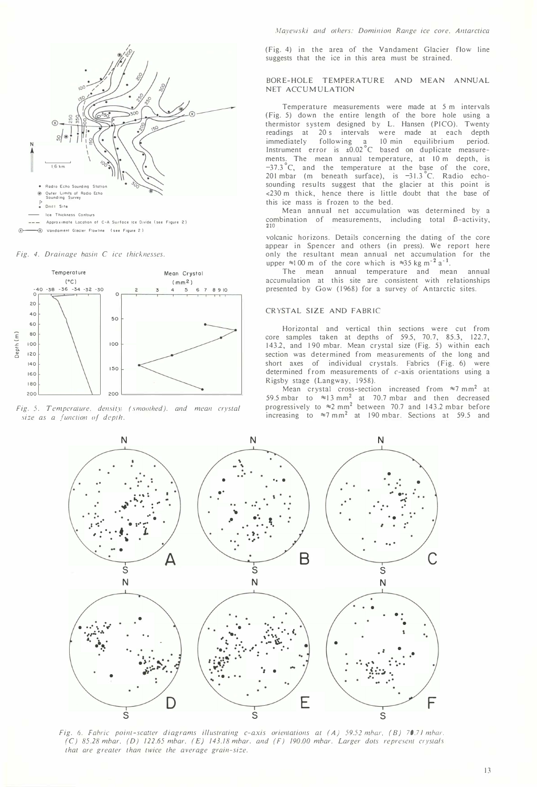

Fig. 4. Drainage hasin  $C$  ice thicknesses.



Fig. 5. Temperature. density (smoothed). and mean crystal  $size$  as a function of depth.

(Fig. 4) in the area of the Vandament Glacier flow line suggests that the ice in this area must be strained.

#### BORE-HOLE TEMPERATURE AND MEAN ANNUAL NET ACCUMULATION

Temperature measurements were made at 5 m intervals (Fig. 5) down the entire length of the bore hole using a thermistor system designed by L. Hansen (PICO). Twenty readings at 20 s intervals were made at each depth immediately following a 10 min equilibrium period. Instrument error is ±0.02°C based on duplicate measurements. The mean annual temperature, at 10 m depth, is  $-37.3^{\circ}$ C, and the temperature at the base of the core, 201 mbar (m beneath surface), is  $-31.3$ °C. Radio echosounding results suggest that the glacier at this point is <230 m thick, hence there is little doubt that the base of this ice mass is frozen to the bed.

Mean annual net accumulation was determined by a combination of measurements, including total  $\beta$ -activity,  $210$  Pb, 14  $\pm$  14 C, seasonal signature in anion chemistry, and chemistry, and chemistry, and chemistry, and chemistry, and chemistry, and chemistry, and chemistry, and chemistry, and chemistry, and chemistry, and chem

volcanic horizons. Details concerning the dating of the core appear in Spencer and others (in press). We report here only the resultant mean annual net accumulation for the upper  $\approx 100$  m of the core which is  $\approx 35$  kg m<sup>-2</sup> a<sup>-1</sup>.

The mean annual temperature and mean annual accumulation at this site are consistent with relationships presented by Gow (1968) for a survey of Antarctic sites.

#### CRYSTAL SIZE AND FABRIC

Horizontal and vertical thin sections were cut from core samples taken at depths of 59.5, 70.7, 85.3, 122.7, 143.2, and 190 mbar. Mean crystal size (Fig. 5) within each section was determined from measurements of the long and short axes of individual crystals. Fabrics (Fig. 6) were determined from measurements of c-axis orientations using a Rigsby stage (Langway, 1958).

Mean crystal cross-section increased from  $\approx$ 7 mm<sup>2</sup> at 59.5 mbar to  $\approx$  13 mm<sup>2</sup> at 70.7 mbar and then decreased progressively to  $\approx 2 \text{ mm}^2$  between 70.7 and 143.2 mbar before increasing to  $\approx$ 7 mm<sup>2</sup> at 190 mbar. Sections at 59.5 and



Fig. 6. Fabric point-seatter diagrams illustrating c-axis orientations at (A) 59.52 mbar, (B) 70.71 mbar (C) 85.28mbar, (D) 122.65 mbar, (E) 143.18 mbar, and (F) 190.00 mbar. Larger dots represent crystals that are greater than twice the average grain-size.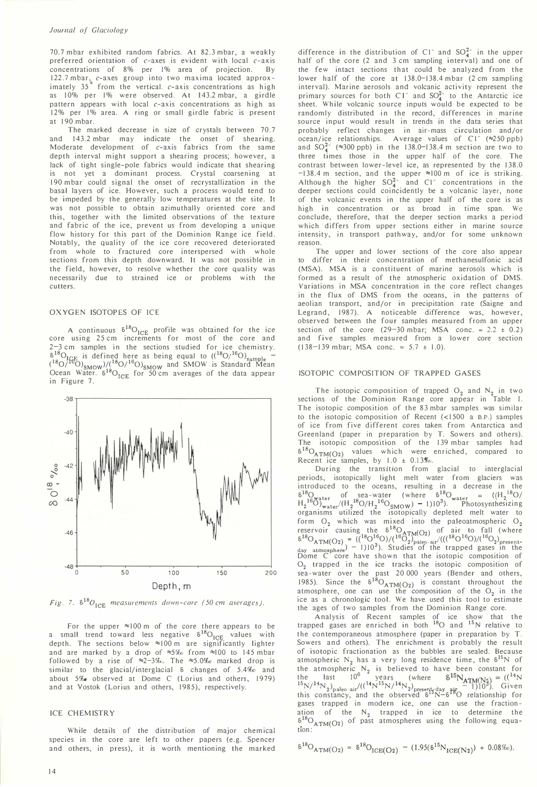#### Journal of Glaciology

70.7 mbar exhibited random fabrics. At 82.3 mbar, a weakly preferred orientation of  $c$ -axes is evident with local  $c$ -axis concentrations of 8% per 1% area of projection. By 122.7 mbar, c-axes group into two maxima located approx-<br>imately 35<sup>°</sup> from the vertical. c-axis concentrations as high as 10% per 1% were observed. At 143.2 mbar, a girdle pattern appears with local  $c$ -axis concentrations as high as 12% per 1% area. A ring or small girdle fabric is present at 190 mbar.

The marked decrease in size of crystals between 70.7 and 143.2 mbar may indicate the onset of shearing. Moderate development of c-axis fabrics from the same depth interval might support a shearing process; however, a lack of tight single-pole fabrics would indicate that shearing is not yet a dominant process. Crystal coarsening at 190 mbar could signal the onset of recrystallization in the basal layers of ice. However, such a process would tend to be impeded by the generally low temperatures at the site. It was not possible to obtain azimuthally oriented core and this, together with the limited observations of the texture and fabric of the ice, prevent us from developing a unique flow history for this part of the Dominion Range ice field. Notably, the quality of the ice core recovered deteriorated from whole to fractured core interspersed with whole sections from this depth downward. It was not possible in the field, however, to resolve whether the core quality was necessarily due to strained ice or problems with the cutters. mbar exhibited random fabrics. At 82.3.mbar, a weakly<br>
sterifference in the dore of orientation of C-axes is evident with local<br>
orientation and of the core of the core of the core of the core of the<br>
27 mbar, conserved a

#### OXYGEN ISOTOPES OF ICE

A continuous  $\delta^{18}O_{ICE}$  profile was obtained for the ice core using 25 cm increments for most of the core and 2-3 cm samples in the sections studied for ice chemistry.  $\frac{6^{18}O}{(180 \times 160)}$  is defined here as being equal to  $\left(\frac{^{18}O}{^{16}O}\right)_{\text{sample}}$  –  $({}^{18}O/{}^{16}O)_{SMOW}$ )/ $({}^{18}O/{}^{16}O)_{SMOW}$  and SMOW is Standard Mean Ocean Water.  $\delta^{18}O_{ICE}$  for 50 cm averages of the data appear in Figure 7.



Fig. 7.  $\delta^{18}O_{\text{ICE}}$  measurements down-core (50 cm averages).

For the upper  $\approx$ 100 m of the core there appears to be a small trend toward less negative  $\delta^{18}O_{ICE}$  values with depth. The sections below  $\approx$ 100 m are significantly lighter and are marked by a drop of  $\approx 5\%$  from  $\approx 100$  to 145 mbar followed by a rise of  $\approx 2-3\%$ . The  $\approx 5.0\%$  marked drop is similar to the glacial/interglacial  $\delta$  changes of 5.4% and about  $5\%$  observed at Dome C (Lorius and others, 1979) and at Vostok (Lorius and others, 1985), respectively.

#### ICE CHEMISTRY

While details of the distribution of major chemical species in the core are left to other papers (e.g. Spencer and others, in press), it is worth mentioning the marked

difference in the distribution of C<sub>1</sub><sup>-</sup> and SO<sub>4</sub><sup>2</sup><sup>-</sup> in the upper half of the core (2 and 3 cm sampling interval) and one of the few intact sections that could be analyzed from the lower half of the core at 138.0-138.4 mbar (2 cm sampling interval). Marine aerosols and volcanic activity represent the primary sources for both  $Cl^-$  and  $SO_4^2$  to the Antarctic ice sheet. While volcanic source inputs would be expected to be randomly distributed in the record, differences in marine source input would result in trends in the data series that probably reflect changes in air-mass circulation and/or ocean/ice relationships. Average values of C1<sup>-</sup> (~250 ppb) and  $SO_4^{2-}$  ( $\approx$ 300 ppb) in the 138.0-138.4 m section are two to three times those in the upper half of the core. The contrast between lower-level ice, as represented by the 138.0  $-138.4$  m section, and the upper  $\approx 100$  m of ice is striking.<br>Although the higher  $SO_4^{2-}$  and C1<sup>-</sup> concentrations in the deeper sections could coincidently be a volcanic layer, none of the volcanic events in the upper half of the core is as high in concentration or as broad in time span. We conclude, therefore, that the deeper section marks a period which differs from upper sections either in marine source intensity, in transport pathway, and/or for some unknown reason.

The upper and lower sections of the core also appear differ in their concentration of methanesulfonic acid (MSA). MSA is a constituent of marine aerosols which is formed as a result of the atmospheric oxidation of DMS. Variations in MSA concentration in the core reflect changes in the flux of DMS from the oceans, in the patterns of aeolian transport, and/or in precipitation rate (Saigne and Legrand, 1987). A noticeable difference was, however, observed between the four samples measured from an upper section of the core  $(29-30 \text{ mbar}; \text{MSA} \text{ conc.} = 2.2 \pm 0.2)$ and five samples measured from a lower core section  $(138-139 \text{ mbar}; \text{MSA cone.} = 5.7 \pm 1.0).$ 

#### ISOTOPIC COMPOSITION OF TRAPPED GASES

The isotopic composition of trapped  $O_2$  and  $N_2$  in two sections of the Dominion Range core appear in Table I. The isotopic composition of the 83 mbar samples was similar to the isotopic composition of Recent (<1500 a B.P.) samples of ice from five different cores taken from Antarctica and Greenland (paper in preparation by T. Sowers and others). The isotopic composition of the 139 mbar samples had  $6^{10}O_{ATM}(O_2)$  values which were enriched, compared to Recent ice samples, by  $1.0 \pm 0.13\%$ .

During the transition from glacial to interglacial periods, isotopically light melt water from glaciers was introduced to the oceans, resulting in a decrease in the  $6^{18}O_{water}$  of sea-water (where  $6^{18}O_{water}$  = ((H<sub>2</sub><sup>18</sup>O/H<sub>2</sub><sup>18</sup>O/H<sub>2</sub><sup>18</sup>O<sub>SMOW</sub>) – 1)10<sup>3</sup>). Photosynthesizing organisms utilized the isotopically depleted melt water to form  $O_2$  which was mixed into the paleoatmospheric  $O_2$ reservoir causing the  $\delta^{18}O_{\text{ATM}}(O_2)$  of air to fall (where  $6^{18}O_{ATM}(O_2) = \frac{((^{18}O^{16}O)/(^{16}O_2)^{6}P_{\text{paleo-air}}/(((^{18}O^{16}O)/(^{16}O_2)^{6}P_{\text{present-}})}{110^3}$ . Studies of the trapped gases in the Dome C core have shown that the isotopic composition of Dome C core have shown that the isotopic composition of  $O_2$  trapped in the ice tracks the isotopic composition of sea-water over the past 20 000 years (Bender and others, 1985). Since the  $\delta^{18}O_{ATM}(O_2)$  is constant throughout the atmosphere, one can use the composition of the  $O_2$  in the ice as a chronologic tool. We have used this tool to estimate the ages of two samples from the Dominion Range core.

Analysis of Recent samples of ice show that the trapped gases are enriched in both  $^{18}$ O and  $^{15}$ N relative to the contemporaneous atmosphere (paper in preparation by T. Sowers and others). The enrichment is probably the result of isotopic fractionation as the bubbles are sealed. Because atmospheric  $N_2$  has a very long residence time, the  $\delta^{15}N$  of the atmospheric  $N_2$  is believed to have been constant for the last  $10^6$  years (where  $\delta^{15}N_{ATM(N_2)} = ((^{14}N)^{15})^{16}$  $^{15}N/^{14}N_2$  paleo-air/( $^{14}N^{15}N/^{14}N_2$ ) present-day air  $-1$ )10<sup>3</sup>). Given this constancy, and the observed  $\delta^{15}N- \delta^{18}O$  relationship for gases trapped in modern ice, one can use the fractionation of the  $N_2$  trapped in ice to determine the  $6^{18}O_{ATM(O2)}$  of past atmospheres using the following equation:

$$
\delta^{18}O_{ATM(O_2)} = \delta^{18}O_{ICE(O_2)} - (1.95(\delta^{15}N_{ICE(N_2)}) + 0.08\%).
$$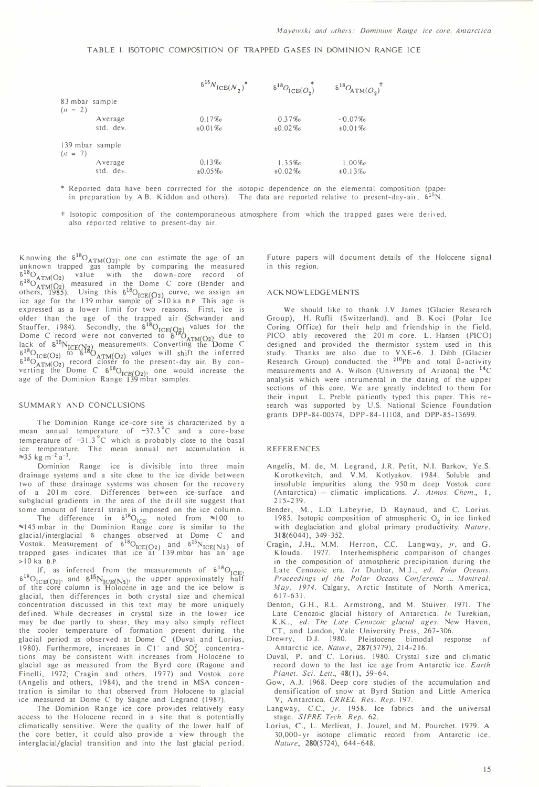#### TABLE I. ISOTOPIC COMPOSITION OF TRAPPED GASES IN DOMINION RANGE ICE

|                              |           | $\delta^{15} N_{\text{ICE}(N_2)}^*$ | $\delta^{18}O_{\text{ICE}(O_2)}$ | $6^{18}O_{ATM(O_2)}$ <sup>†</sup> |
|------------------------------|-----------|-------------------------------------|----------------------------------|-----------------------------------|
| 83 mbar sample               |           |                                     |                                  |                                   |
| $(n = 2)$                    |           |                                     |                                  |                                   |
|                              | Average   | 0.17%                               | 0.37%                            | $-0.07%$                          |
|                              | std. dev. | ±0.01%                              | $±0.02\%$                        | ±0.01%                            |
| 139 mbar sample<br>$(n = 7)$ |           |                                     |                                  |                                   |
|                              | Average   | 0.13%                               | 1.35%                            | $1.00\%$                          |
|                              | std. dev. | $±0.05\%$                           | $±0.02\%$                        | $±0.13\%$                         |

- \* Reported data have been corrrected for the isotopic dependence on the elemental composition (paper in preparation by A.B. Kiddon and others). The data are reported relative to present-day-air,  $\delta^{15}N$ .
- t Isotopic composition of the contemporaneous atmosphere from which the trapped gases were derived, also reported relative to present-day air.

Knowing the  $\delta^{18}O_{ATM(O_2)}$ , one can estimate the age of an unknown trapped gas sample by comparing the measured  $6^{10}O_{ATM}(O_2)$  value with the down-core record of  $6^{10}$ O<sub>ATM</sub> (O<sub>2</sub>) measured in the Dome C core (Bender and others, 1985). Using this  $\delta^{10}O_{ICE(O_2)}$  curve, we assign an ice age for the 139 mbar sample of >10 ka B.P. This age is expressed as a lower limit for two reasons. First, ice is older than the age of the trapped air (Schwander and Stauffer, 1984). Secondly, the  $\delta^{18}O_{\text{ICE}(Q_2)}$  values for the Dome C record were not converted to  $\epsilon^{18}O$ Dome C record were not converted to  $\delta^{10}O_{ATM}(O_2)$  due to lack of  $\delta^{15}N_{\text{ICE}(N_8)}$  measurements. Converting the Dome C  $\frac{6^{18}O}{16^{18}CO}$  to  $\frac{6^{18}O}{16}$   $\frac{6^{18}O}{16}$  values will shift the inferred  $6^{18}O_{ATM(O_2)}$  record closer to the present-day air. By converting the Dome C  $\delta^{10}O_{\text{ICE}(Q_2)}$ , one would increase the age of the Dominion Range 139 mbar samples.

#### SUMMARY AND CONCLUSIONS

The Dominion Range ice-core site is characterized by a mean annual temperature of  $-37.3^{\circ}$ C and a core-base temperature of  $-31.3^{\circ}$ C which is probably close to the basal ice temperature. The mean annual net accumulation is  $\approx$ 35 kg m<sup>-2</sup> a<sup>-1</sup>.

Dominion Range ice is divisible into three main drainage systems and a site close to the ice divide between two of these drainage systems was chosen for the recovery of a 201 m core. Differences between ice-surface and subglacial gradients in the area of the drill site suggest that some amount of lateral strain is imposed on the ice column.

The difference in  $\delta^{18}O_{ICE}$  noted from  $\approx 100$  to  $\approx 145$  mbar in the Dominion Range core is similar to the glacial/interglacial 5 changes observed at Dome C and Vostok. Measurement of  $5^{18}O_{ICE(O_2)}$  and  $5^{15}N_{ICE(N_2)}$  of trapped gases indicates that ice at 139 mbar has an age  $>10$  ka B.P.

If, as inferred from the measurements of  $\delta^{18}O_{ICE}$ ,  $\delta^{18}O_{ICE(D_2)}$ , and  $\delta^{15}N_{ICE(N_2)}$ , the upper approximately half of the core column is Holocene in age and the ice below is glacial, then differences in both crystal size and chemical concentration discussed in this text may be more uniquely defined. While decreases in crystal size in the lower ice may be due partly to shear, they may also simply reflect the cooler temperature of formation present during the glacial period as observed at Dome C (Duval and Lorius, 1980). Furthermore, increases in C1<sup>-</sup> and SO<sup>2</sup><sup>-</sup> concentra-<br>tions may be consistent with increases from Holocene to glacial age as measured from the Byrd core (Ragone and Finelli, 1972; Cragin and others, 1977) and Vostok core (Angelis and others, 1984), and the trend in MSA concentration is similar to that observed from Holocene to glacial ice measured at Dome C by Saigne and Legrand (1987).

The Dominion Range ice core provides relatively easy access to the Holocene record in a site that is potentially climatically sensitive. Were the quality of the lower half of the core better, it could also provide a view through the interglacial/glacial transition and into the last glacial period.

Future papers will document details of the Holocene signal in this region.

#### ACKNOWLEDGEMENTS

We should like to thank J.V. James (Glacier Research Group), H. Rufli (Switzerland), and B. Koci (Polar Ice Coring Office) for their help and friendship in the field. PICO ably recovered the 201 m core. L. Hansen (PICO) designed and provided the thermistor system used in this study. Thanks are also due to VXE-6. J. Dibb (Glacier<br>Research Group) conducted the <sup>210</sup>Pb and total ß-activity measurements and A. Wilson (University of Arizona) the <sup>14</sup>C analysis which were intrumental in the dating of the upper sections of this core. We are greatly indebted to them for their input. L. Preble patiently typed this paper. This research was supported by U.S. National Science Foundation grants DPP-84-00574, DPP-84-11108, and DPP-85-13699.

#### **REFERENCES**

- Angelis, M. de, M. Legrand, J.R. Petit, N.!. Barkov, Ye.S. Korotkevitch, and V.M. Kotlyakov. 1984. Soluble and insoluble impurities along the 950 m deep Vostok core  $(Antarctica)$  - climatic implications. J. Atmos. Chem., 1, 215-239.
- Bender, M., L.D. Labeyrie, D. Raynaud, and C. Lorius. 1985. Isotopic composition of atmospheric  $O<sub>2</sub>$  in ice linked with deglaciation and global primary productivity. Nature, 318(6044), 349-352.
- Cragin, J.H., M.M. Herron, C.C. Langway, jr, and G. Klouda. 1977. Interhemispheric comparison of changes in the composition of atmospheric precipitation during the Late Cenozoic era. In Dunbar, M.J., ed. Polar Oceans. Proceedings of the Polar Oceans Conference ... Montreal, May, 1974. Calgary, Arctic Institute of North America, 617-631.
- Denton, G.H., R.L. Armstrong, and M. Stuiver. 1971. The Late Cenozoic glacial history of Antarctica. In Turekian, K.K., ed. The Late Cenozoic glacial ages. New Haven, CT, and London, Yale University Press, 267-306.
- Drewry, DJ. 1980. Pleistocene bimodal response of Antarctic ice. Nalure, 287(5779), 214-2 16.
- Duval, P. and C. Lorius. 1980. Crystal size and climatic record down to the last ice age from Antarctic ice. Earth Planet. Sci. Lett., 48(1), 59-64.
- Gow, A.J. 1968. Deep core studies of the accumulation and densification of snow at Byrd Station and Little America V, Antarctica. CRREL Res. Rep. 197.
- Langway, C.C., *jr.* 1958. Ice fabrics and the universal stage. SIPRE Tech. Rep. 62.
- Lorius, C., L. Merlivat, J. Jouzel, and M. Pourchet. 1979. A 30, OOO-yr isotope climatic record from Antarctic ice. Nature, 280(5724), 644-648.